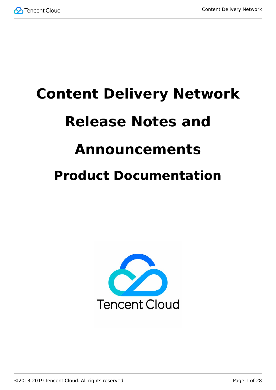

# **Content Delivery Network Release Notes and Announcements Product Documentation**



©2013-2019 Tencent Cloud. All rights reserved. Page 1 of 28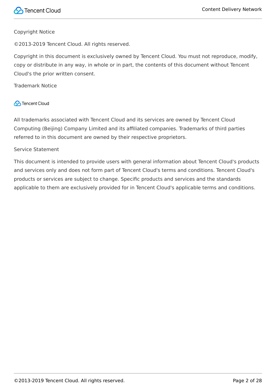#### Copyright Notice

©2013-2019 Tencent Cloud. All rights reserved.

Copyright in this document is exclusively owned by Tencent Cloud. You must not reproduce, modify, copy or distribute in any way, in whole or in part, the contents of this document without Tencent Cloud's the prior written consent.

Trademark Notice

#### **C** Tencent Cloud

All trademarks associated with Tencent Cloud and its services are owned by Tencent Cloud Computing (Beijing) Company Limited and its affiliated companies. Trademarks of third parties referred to in this document are owned by their respective proprietors.

#### Service Statement

This document is intended to provide users with general information about Tencent Cloud's products and services only and does not form part of Tencent Cloud's terms and conditions. Tencent Cloud's products or services are subject to change. Specific products and services and the standards applicable to them are exclusively provided for in Tencent Cloud's applicable terms and conditions.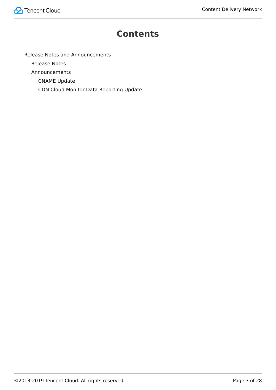

#### **Contents**

[Release Notes and Announcements](#page-3-0)

[Release Notes](#page-3-1)

[Announcements](#page-26-0)

[CNAME Update](#page-26-1)

[CDN Cloud Monitor Data Reporting Update](#page-27-0)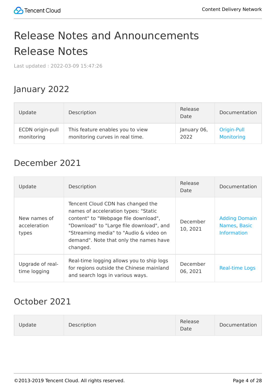## <span id="page-3-1"></span><span id="page-3-0"></span>Release Notes and Announcements Release Notes

Last updated:2022-03-09 15:47:26

#### January 2022

| Update           | Description                      | Release<br>Date | Documentation     |
|------------------|----------------------------------|-----------------|-------------------|
| ECDN origin-pull | This feature enables you to view | January 06,     | Origin-Pull       |
| monitoring       | monitoring curves in real time.  | 2022            | <b>Monitoring</b> |

#### December 2021

| Update                                | Description                                                                                                                                                                                                                                                   | Release<br>Date      | Documentation                                              |
|---------------------------------------|---------------------------------------------------------------------------------------------------------------------------------------------------------------------------------------------------------------------------------------------------------------|----------------------|------------------------------------------------------------|
| New names of<br>acceleration<br>types | Tencent Cloud CDN has changed the<br>names of acceleration types: "Static<br>content" to "Webpage file download",<br>"Download" to "Large file download", and<br>"Streaming media" to "Audio & video on<br>demand". Note that only the names have<br>changed. | December<br>10, 2021 | <b>Adding Domain</b><br>Names, Basic<br><b>Information</b> |
| Upgrade of real-<br>time logging      | Real-time logging allows you to ship logs<br>for regions outside the Chinese mainland<br>and search logs in various ways.                                                                                                                                     | December<br>06, 2021 | <b>Real-time Logs</b>                                      |

#### October 2021

| Description<br>Update | Release<br>Date | Documentation |
|-----------------------|-----------------|---------------|
|-----------------------|-----------------|---------------|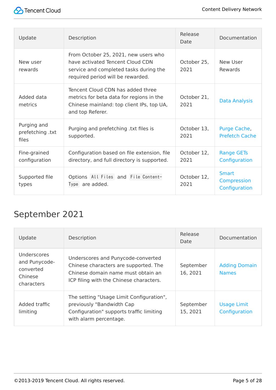

| Update                                   | Description                                                                                                                                             | Release<br>Date     | Documentation                         |
|------------------------------------------|---------------------------------------------------------------------------------------------------------------------------------------------------------|---------------------|---------------------------------------|
| New user<br>rewards                      | From October 25, 2021, new users who<br>have activated Tencent Cloud CDN<br>service and completed tasks during the<br>required period will be rewarded. | October 25,<br>2021 | New User<br>Rewards                   |
| Added data<br>metrics                    | Tencent Cloud CDN has added three<br>metrics for beta data for regions in the<br>Chinese mainland: top client IPs, top UA,<br>and top Referer.          | October 21.<br>2021 | Data Analysis                         |
| Purging and<br>prefetching .txt<br>files | Purging and prefetching txt files is<br>supported.                                                                                                      | October 13,<br>2021 | Purge Cache,<br><b>Prefetch Cache</b> |
| Fine-grained<br>configuration            | Configuration based on file extension, file<br>directory, and full directory is supported.                                                              | October 12,<br>2021 | <b>Range GETs</b><br>Configuration    |
| Supported file<br>types                  | Options All Files and File Content-<br>Type are added.                                                                                                  | October 12.<br>2021 | Smart<br>Compression<br>Configuration |

### September 2021

| Update                                                                    | Description                                                                                                                                                  | Release<br>Date       | Documentation                        |
|---------------------------------------------------------------------------|--------------------------------------------------------------------------------------------------------------------------------------------------------------|-----------------------|--------------------------------------|
| <b>Underscores</b><br>and Punycode-<br>converted<br>Chinese<br>characters | Underscores and Punycode-converted<br>Chinese characters are supported. The<br>Chinese domain name must obtain an<br>ICP filing with the Chinese characters. | September<br>16, 2021 | <b>Adding Domain</b><br><b>Names</b> |
| Added traffic<br>limiting                                                 | The setting "Usage Limit Configuration",<br>previously "Bandwidth Cap<br>Configuration" supports traffic limiting<br>with alarm percentage.                  | September<br>15, 2021 | <b>Usage Limit</b><br>Configuration  |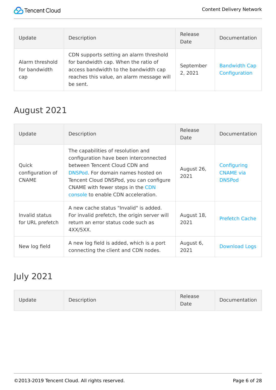

| Update                                  | Description                                                                                                                                                                       | Release<br>Date      | Documentation                         |
|-----------------------------------------|-----------------------------------------------------------------------------------------------------------------------------------------------------------------------------------|----------------------|---------------------------------------|
| Alarm threshold<br>for bandwidth<br>cap | CDN supports setting an alarm threshold<br>for bandwidth cap. When the ratio of<br>access bandwidth to the bandwidth cap<br>reaches this value, an alarm message will<br>be sent. | September<br>2, 2021 | <b>Bandwidth Cap</b><br>Configuration |

### August 2021

| Update                                    | Description                                                                                                                                                                                                                                                                | Release<br>Date    | Documentation                                    |
|-------------------------------------------|----------------------------------------------------------------------------------------------------------------------------------------------------------------------------------------------------------------------------------------------------------------------------|--------------------|--------------------------------------------------|
| Quick<br>configuration of<br><b>CNAME</b> | The capabilities of resolution and<br>configuration have been interconnected<br>between Tencent Cloud CDN and<br>DNSPod. For domain names hosted on<br>Tencent Cloud DNSPod, you can configure<br>CNAME with fewer steps in the CDN<br>console to enable CDN acceleration. | August 26,<br>2021 | Configuring<br><b>CNAME</b> via<br><b>DNSPod</b> |
| Invalid status<br>for URL prefetch        | A new cache status "Invalid" is added.<br>For invalid prefetch, the origin server will<br>return an error status code such as<br>$4XX/5XX$ .                                                                                                                               | August 18,<br>2021 | <b>Prefetch Cache</b>                            |
| New log field                             | A new log field is added, which is a port<br>connecting the client and CDN nodes.                                                                                                                                                                                          | August 6,<br>2021  | <b>Download Logs</b>                             |

#### July 2021

| Update | Description | Release<br>Date | Documentation |
|--------|-------------|-----------------|---------------|
|--------|-------------|-----------------|---------------|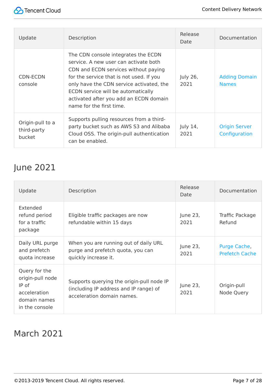

| Update                                    | Description                                                                                                                                                                                                                                                                                                              | Release<br>Date  | Documentation                         |
|-------------------------------------------|--------------------------------------------------------------------------------------------------------------------------------------------------------------------------------------------------------------------------------------------------------------------------------------------------------------------------|------------------|---------------------------------------|
| CDN-ECDN<br>console                       | The CDN console integrates the ECDN<br>service. A new user can activate both<br>CDN and ECDN services without paying<br>for the service that is not used. If you<br>only have the CDN service activated, the<br>ECDN service will be automatically<br>activated after you add an ECDN domain<br>name for the first time. | July 26,<br>2021 | <b>Adding Domain</b><br><b>Names</b>  |
| Origin-pull to a<br>third-party<br>bucket | Supports pulling resources from a third-<br>party bucket such as AWS S3 and Alibaba<br>Cloud OSS. The origin-pull authentication<br>can be enabled.                                                                                                                                                                      | July 14,<br>2021 | <b>Origin Server</b><br>Configuration |

#### June 2021

| Update                                                                                         | Description                                                                                                       | Release<br>Date  | Documentation                         |
|------------------------------------------------------------------------------------------------|-------------------------------------------------------------------------------------------------------------------|------------------|---------------------------------------|
| Extended<br>refund period<br>for a traffic<br>package                                          | Eligible traffic packages are now<br>refundable within 15 days                                                    | June 23,<br>2021 | Traffic Package<br>Refund             |
| Daily URL purge<br>and prefetch<br>quota increase                                              | When you are running out of daily URL<br>purge and prefetch quota, you can<br>quickly increase it.                | June 23,<br>2021 | Purge Cache,<br><b>Prefetch Cache</b> |
| Query for the<br>origin-pull node<br>$IP$ of<br>acceleration<br>domain names<br>in the console | Supports querying the origin-pull node IP<br>(including IP address and IP range) of<br>acceleration domain names. | June 23,<br>2021 | Origin-pull<br>Node Query             |

#### March 2021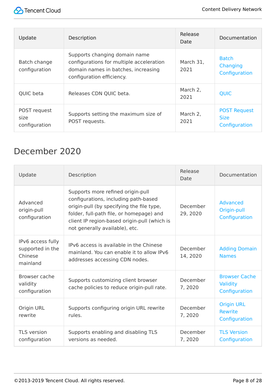

| Update                                | <b>Description</b>                                                                                                                            | Release<br>Date   | Documentation                                       |
|---------------------------------------|-----------------------------------------------------------------------------------------------------------------------------------------------|-------------------|-----------------------------------------------------|
| Batch change<br>configuration         | Supports changing domain name<br>configurations for multiple acceleration<br>domain names in batches, increasing<br>configuration efficiency. | March 31,<br>2021 | <b>Batch</b><br>Changing<br>Configuration           |
| QUIC beta                             | Releases CDN QUIC beta.                                                                                                                       | March 2,<br>2021  | <b>QUIC</b>                                         |
| POST request<br>size<br>configuration | Supports setting the maximum size of<br>POST requests.                                                                                        | March 2,<br>2021  | <b>POST Request</b><br><b>Size</b><br>Configuration |

#### December 2020

| Update                                                       | Description                                                                                                                                                                                                                                          | Release<br>Date      | Documentation                                        |
|--------------------------------------------------------------|------------------------------------------------------------------------------------------------------------------------------------------------------------------------------------------------------------------------------------------------------|----------------------|------------------------------------------------------|
| Advanced<br>origin-pull<br>configuration                     | Supports more refined origin-pull<br>configurations, including path-based<br>origin-pull (by specifying the file type,<br>folder, full-path file, or homepage) and<br>client IP region-based origin-pull (which is<br>not generally available), etc. | December<br>29, 2020 | <b>Advanced</b><br>Origin-pull<br>Configuration      |
| IPv6 access fully<br>supported in the<br>Chinese<br>mainland | IPv6 access is available in the Chinese<br>mainland. You can enable it to allow IPv6<br>addresses accessing CDN nodes.                                                                                                                               | December<br>14, 2020 | <b>Adding Domain</b><br><b>Names</b>                 |
| Browser cache<br>validity<br>configuration                   | Supports customizing client browser<br>cache policies to reduce origin-pull rate.                                                                                                                                                                    | December<br>7,2020   | <b>Browser Cache</b><br>Validity<br>Configuration    |
| Origin URL<br>rewrite                                        | Supports configuring origin URL rewrite<br>rules.                                                                                                                                                                                                    | December<br>7,2020   | <b>Origin URL</b><br><b>Rewrite</b><br>Configuration |
| <b>TLS</b> version<br>configuration                          | Supports enabling and disabling TLS<br>versions as needed.                                                                                                                                                                                           | December<br>7,2020   | <b>TLS Version</b><br>Configuration                  |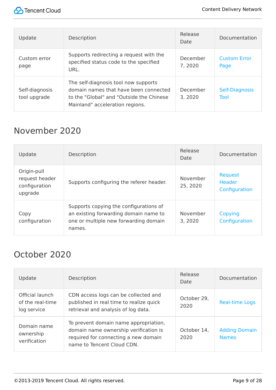

| Update                         | Description                                                                                                                                                  | Release<br>Date     | Documentation               |
|--------------------------------|--------------------------------------------------------------------------------------------------------------------------------------------------------------|---------------------|-----------------------------|
| Custom error<br>page           | Supports redirecting a request with the<br>specified status code to the specified<br>URL.                                                                    | December<br>7,2020  | <b>Custom Error</b><br>Page |
| Self-diagnosis<br>tool upgrade | The self-diagnosis tool now supports<br>domain names that have been connected<br>to the "Global" and "Outside the Chinese<br>Mainland" acceleration regions. | December<br>3, 2020 | Self-Diagnosis<br>Tool      |

#### November 2020

| Update                                                    | Description                                                                                                                        | Release<br><b>Date</b> | Documentation                                    |
|-----------------------------------------------------------|------------------------------------------------------------------------------------------------------------------------------------|------------------------|--------------------------------------------------|
| Origin-pull<br>request header<br>configuration<br>upgrade | Supports configuring the referer header.                                                                                           | November<br>25, 2020   | <b>Request</b><br><b>Header</b><br>Configuration |
| Copy<br>configuration                                     | Supports copying the configurations of<br>an existing forwarding domain name to<br>one or multiple new forwarding domain<br>names. | November<br>3, 2020    | Copying<br>Configuration                         |

#### October 2020

| Update                                             | Description                                                                                                                                          | Release<br>Date     | Documentation                        |
|----------------------------------------------------|------------------------------------------------------------------------------------------------------------------------------------------------------|---------------------|--------------------------------------|
| Official launch<br>of the real-time<br>log service | CDN access logs can be collected and<br>published in real time to realize quick<br>retrieval and analysis of log data.                               | October 29,<br>2020 | <b>Real-time Logs</b>                |
| Domain name<br>ownership<br>verification           | To prevent domain name appropriation,<br>domain name ownership verification is<br>required for connecting a new domain<br>name to Tencent Cloud CDN. | October 14,<br>2020 | <b>Adding Domain</b><br><b>Names</b> |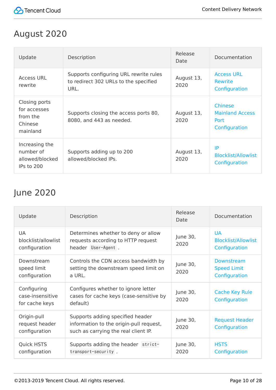

#### August 2020

| Update                                                           | Description                                                                             | Release<br>Date    | Documentation                                                     |
|------------------------------------------------------------------|-----------------------------------------------------------------------------------------|--------------------|-------------------------------------------------------------------|
| <b>Access URL</b><br>rewrite                                     | Supports configuring URL rewrite rules<br>to redirect 302 URLs to the specified<br>URL. | August 13,<br>2020 | <b>Access URL</b><br><b>Rewrite</b><br>Configuration              |
| Closing ports<br>for accesses<br>from the<br>Chinese<br>mainland | Supports closing the access ports 80,<br>8080, and 443 as needed.                       | August 13,<br>2020 | <b>Chinese</b><br><b>Mainland Access</b><br>Port<br>Configuration |
| Increasing the<br>number of<br>allowed/blocked<br>IPs to 200     | Supports adding up to 200<br>allowed/blocked IPs.                                       | August 13,<br>2020 | IP<br><b>Blocklist/Allowlist</b><br>Configuration                 |

#### June 2020

| Update                                            | Description                                                                                                         | Release<br>Date  | Documentation                                            |
|---------------------------------------------------|---------------------------------------------------------------------------------------------------------------------|------------------|----------------------------------------------------------|
| <b>UA</b><br>blocklist/allowlist<br>configuration | Determines whether to deny or allow<br>requests according to HTTP request<br>header User-Agent .                    | June 30,<br>2020 | <b>UA</b><br><b>Blocklist/Allowlist</b><br>Configuration |
| Downstream<br>speed limit<br>configuration        | Controls the CDN access bandwidth by<br>setting the downstream speed limit on<br>a URL.                             | June 30,<br>2020 | Downstream<br><b>Speed Limit</b><br>Configuration        |
| Configuring<br>case-insensitive<br>for cache keys | Configures whether to ignore letter<br>cases for cache keys (case-sensitive by<br>default)                          | June 30,<br>2020 | <b>Cache Key Rule</b><br>Configuration                   |
| Origin-pull<br>request header<br>configuration    | Supports adding specified header<br>information to the origin-pull request,<br>such as carrying the real client IP. | June 30,<br>2020 | <b>Request Header</b><br>Configuration                   |
| <b>Quick HSTS</b><br>configuration                | Supports adding the header strict-<br>transport-security.                                                           | June 30,<br>2020 | <b>HSTS</b><br>Configuration                             |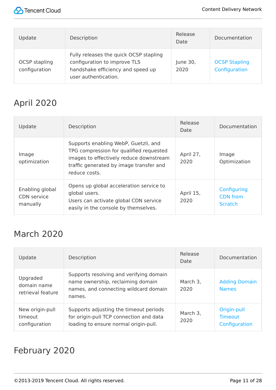

| Update                                | Description                                                                                                                         | Release<br>Date  | Documentation                         |
|---------------------------------------|-------------------------------------------------------------------------------------------------------------------------------------|------------------|---------------------------------------|
| <b>OCSP</b> stapling<br>configuration | Fully releases the quick OCSP stapling<br>configuration to improve TLS<br>handshake efficiency and speed up<br>user authentication. | June 30,<br>2020 | <b>OCSP Stapling</b><br>Configuration |

## April 2020

| Update                                            | Description                                                                                                                                                                            | Release<br>Date   | Documentation                                    |
|---------------------------------------------------|----------------------------------------------------------------------------------------------------------------------------------------------------------------------------------------|-------------------|--------------------------------------------------|
| Image<br>optimization                             | Supports enabling WebP, Guetzli, and<br>TPG compression for qualified requested<br>images to effectively reduce downstream<br>traffic generated by image transfer and<br>reduce costs. | April 27,<br>2020 | Image<br>Optimization                            |
| Enabling global<br><b>CDN</b> service<br>manually | Opens up global acceleration service to<br>global users.<br>Users can activate global CDN service<br>easily in the console by themselves.                                              | April 15,<br>2020 | Configuring<br><b>CDN</b> from<br><b>Scratch</b> |

#### March 2020

| Update                                       | Description                                                                                                                     | Release<br>Date  | Documentation                           |
|----------------------------------------------|---------------------------------------------------------------------------------------------------------------------------------|------------------|-----------------------------------------|
| Upgraded<br>domain name<br>retrieval feature | Supports resolving and verifying domain<br>name ownership, reclaiming domain<br>names, and connecting wildcard domain<br>names. | March 3,<br>2020 | <b>Adding Domain</b><br><b>Names</b>    |
| New origin-pull<br>timeout<br>configuration  | Supports adjusting the timeout periods<br>for origin-pull TCP connection and data<br>loading to ensure normal origin-pull.      | March 3,<br>2020 | Origin-pull<br>Timeout<br>Configuration |

#### February 2020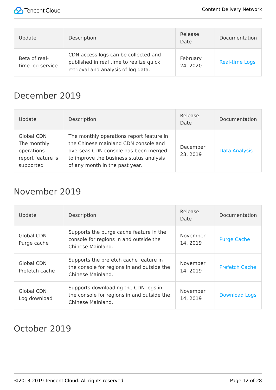

| Update                            | Description                                                                                                            | Release<br>Date      | Documentation         |
|-----------------------------------|------------------------------------------------------------------------------------------------------------------------|----------------------|-----------------------|
| Beta of real-<br>time log service | CDN access logs can be collected and<br>published in real time to realize quick<br>retrieval and analysis of log data. | February<br>24, 2020 | <b>Real-time Logs</b> |

#### December 2019

| Update                                                                           | Description                                                                                                                                                                                           | Release<br>Date      | Documentation        |
|----------------------------------------------------------------------------------|-------------------------------------------------------------------------------------------------------------------------------------------------------------------------------------------------------|----------------------|----------------------|
| <b>Global CDN</b><br>The monthly<br>operations<br>report feature is<br>supported | The monthly operations report feature in<br>the Chinese mainland CDN console and<br>overseas CDN console has been merged<br>to improve the business status analysis<br>of any month in the past year. | December<br>23, 2019 | <b>Data Analysis</b> |

#### November 2019

| Update                              | Description                                                                                               | Release<br>Date      | Documentation         |
|-------------------------------------|-----------------------------------------------------------------------------------------------------------|----------------------|-----------------------|
| Global CDN<br>Purge cache           | Supports the purge cache feature in the<br>console for regions in and outside the<br>Chinese Mainland.    | November<br>14, 2019 | <b>Purge Cache</b>    |
| <b>Global CDN</b><br>Prefetch cache | Supports the prefetch cache feature in<br>the console for regions in and outside the<br>Chinese Mainland. | November<br>14, 2019 | <b>Prefetch Cache</b> |
| <b>Global CDN</b><br>Log download   | Supports downloading the CDN logs in<br>the console for regions in and outside the<br>Chinese Mainland.   | November<br>14, 2019 | <b>Download Logs</b>  |

#### October 2019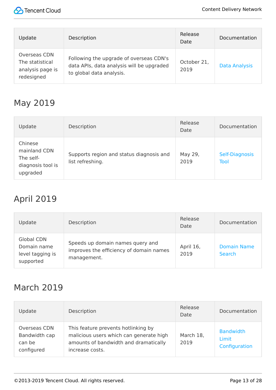

| Update                                                            | <b>Description</b>                                                                                               | Release<br>Date     | Documentation        |
|-------------------------------------------------------------------|------------------------------------------------------------------------------------------------------------------|---------------------|----------------------|
| Overseas CDN<br>The statistical<br>analysis page is<br>redesigned | Following the upgrade of overseas CDN's<br>data APIs, data analysis will be upgraded<br>to global data analysis. | October 21,<br>2019 | <b>Data Analysis</b> |

#### May 2019

| Update                                                                | Description                                                  | Release<br>Date | Documentation          |
|-----------------------------------------------------------------------|--------------------------------------------------------------|-----------------|------------------------|
| Chinese<br>mainland CDN<br>The self-<br>diagnosis tool is<br>upgraded | Supports region and status diagnosis and<br>list refreshing. | May 29,<br>2019 | Self-Diagnosis<br>Tool |

#### April 2019

| Update                                                            | Description                                                                                | Release<br>Date   | Documentation                       |
|-------------------------------------------------------------------|--------------------------------------------------------------------------------------------|-------------------|-------------------------------------|
| <b>Global CDN</b><br>Domain name<br>level tagging is<br>supported | Speeds up domain names query and<br>improves the efficiency of domain names<br>management. | April 16,<br>2019 | <b>Domain Name</b><br><b>Search</b> |

#### March 2019

| Update                                                | Description                                                                                                                                | Release<br>Date   | Documentation                              |
|-------------------------------------------------------|--------------------------------------------------------------------------------------------------------------------------------------------|-------------------|--------------------------------------------|
| Overseas CDN<br>Bandwidth cap<br>can be<br>configured | This feature prevents hotlinking by<br>malicious users which can generate high<br>amounts of bandwidth and dramatically<br>increase costs. | March 18,<br>2019 | <b>Bandwidth</b><br>Limit<br>Configuration |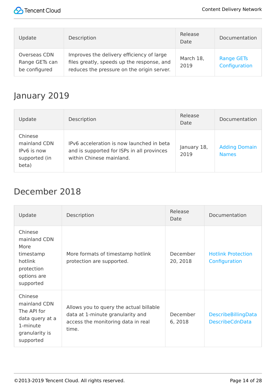

| Update                                          | Description                                                                                                                           | Release<br>Date   | Documentation                      |
|-------------------------------------------------|---------------------------------------------------------------------------------------------------------------------------------------|-------------------|------------------------------------|
| Overseas CDN<br>Range GETs can<br>be configured | Improves the delivery efficiency of large<br>files greatly, speeds up the response, and<br>reduces the pressure on the origin server. | March 18,<br>2019 | <b>Range GETs</b><br>Configuration |

#### January 2019

| Update                                                           | Description                                                                                                         | Release<br>Date     | Documentation                        |
|------------------------------------------------------------------|---------------------------------------------------------------------------------------------------------------------|---------------------|--------------------------------------|
| Chinese<br>mainland CDN<br>IPv6 is now<br>supported (in<br>beta) | IPv6 acceleration is now launched in beta<br>and is supported for ISPs in all provinces<br>within Chinese mainland. | January 18,<br>2019 | <b>Adding Domain</b><br><b>Names</b> |

#### December 2018

| Update                                                                                               | Description                                                                                                                | Release<br>Date      | Documentation                                        |
|------------------------------------------------------------------------------------------------------|----------------------------------------------------------------------------------------------------------------------------|----------------------|------------------------------------------------------|
| Chinese<br>mainland CDN<br>More<br>timestamp<br>hotlink<br>protection<br>options are<br>supported    | More formats of timestamp hotlink<br>protection are supported.                                                             | December<br>20, 2018 | <b>Hotlink Protection</b><br>Configuration           |
| Chinese<br>mainland CDN<br>The API for<br>data query at a<br>1-minute<br>granularity is<br>supported | Allows you to query the actual billable<br>data at 1-minute granularity and<br>access the monitoring data in real<br>time. | December<br>6,2018   | <b>DescribeBillingData</b><br><b>DescribeCdnData</b> |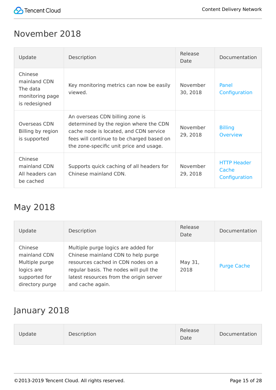

#### November 2018

| Update                                                                  | Description                                                                                                                                                                                                 | Release<br>Date      | Documentation                                |
|-------------------------------------------------------------------------|-------------------------------------------------------------------------------------------------------------------------------------------------------------------------------------------------------------|----------------------|----------------------------------------------|
| Chinese<br>mainland CDN<br>The data<br>monitoring page<br>is redesigned | Key monitoring metrics can now be easily<br>viewed.                                                                                                                                                         | November<br>30, 2018 | Panel<br>Configuration                       |
| Overseas CDN<br>Billing by region<br>is supported                       | An overseas CDN billing zone is<br>determined by the region where the CDN<br>cache node is located, and CDN service<br>fees will continue to be charged based on<br>the zone-specific unit price and usage. | November<br>29, 2018 | <b>Billing</b><br>Overview                   |
| Chinese<br>mainland CDN<br>All headers can<br>be cached                 | Supports quick caching of all headers for<br>Chinese mainland CDN.                                                                                                                                          | November<br>29, 2018 | <b>HTTP Header</b><br>Cache<br>Configuration |

#### May 2018

| Update                                                                                      | Description                                                                                                                                                                                                              | Release<br>Date | Documentation      |
|---------------------------------------------------------------------------------------------|--------------------------------------------------------------------------------------------------------------------------------------------------------------------------------------------------------------------------|-----------------|--------------------|
| Chinese<br>mainland CDN<br>Multiple purge<br>logics are<br>supported for<br>directory purge | Multiple purge logics are added for<br>Chinese mainland CDN to help purge<br>resources cached in CDN nodes on a<br>regular basis. The nodes will pull the<br>latest resources from the origin server<br>and cache again. | May 31,<br>2018 | <b>Purge Cache</b> |

#### January 2018

| Update<br>Description | Release<br>Date | Documentation |
|-----------------------|-----------------|---------------|
|-----------------------|-----------------|---------------|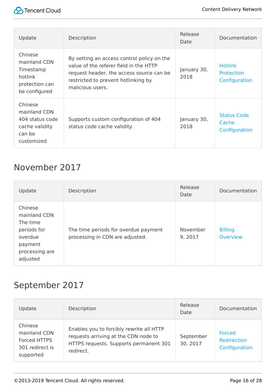

| Update                                                                               | Description                                                                                                                                                                                 | Release<br>Date     | Documentation                                        |
|--------------------------------------------------------------------------------------|---------------------------------------------------------------------------------------------------------------------------------------------------------------------------------------------|---------------------|------------------------------------------------------|
| Chinese<br>mainland CDN<br>Timestamp<br>hotlink<br>protection can<br>be configured   | By setting an access control policy on the<br>value of the referer field in the HTTP<br>request header, the access source can be<br>restricted to prevent hotlinking by<br>malicious users. | January 30,<br>2018 | <b>Hotlink</b><br><b>Protection</b><br>Configuration |
| Chinese<br>mainland CDN<br>404 status code<br>cache validity<br>can be<br>customized | Supports custom configuration of 404<br>status code cache validity.                                                                                                                         | January 30,<br>2018 | <b>Status Code</b><br>Cache<br>Configuration         |

#### November 2017

| Update                                                                                                 | Description                                                             | Release<br>Date    | Documentation                     |
|--------------------------------------------------------------------------------------------------------|-------------------------------------------------------------------------|--------------------|-----------------------------------|
| Chinese<br>mainland CDN<br>The time<br>periods for<br>overdue<br>payment<br>processing are<br>adjusted | The time periods for overdue payment<br>processing in CDN are adjusted. | November<br>9,2017 | <b>Billing</b><br><b>Overview</b> |

#### September 2017

| Update                                                                  | Description                                                                                                                             | Release<br>Date       | Documentation                          |
|-------------------------------------------------------------------------|-----------------------------------------------------------------------------------------------------------------------------------------|-----------------------|----------------------------------------|
| Chinese<br>mainland CDN<br>Forced HTTPS<br>301 redirect is<br>supported | Enables you to forcibly rewrite all HTTP<br>requests arriving at the CDN node to<br>HTTPS requests. Supports permanent 301<br>redirect. | September<br>30, 2017 | Forced<br>Redirection<br>Configuration |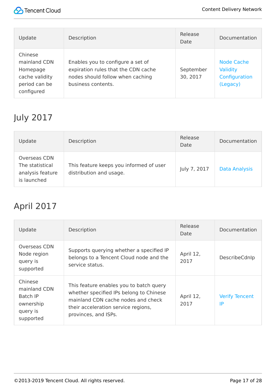

| Update                                                                               | Description                                                                                                                        | Release<br>Date       | Documentation                                              |
|--------------------------------------------------------------------------------------|------------------------------------------------------------------------------------------------------------------------------------|-----------------------|------------------------------------------------------------|
| Chinese<br>mainland CDN<br>Homepage<br>cache validity<br>period can be<br>configured | Enables you to configure a set of<br>expiration rules that the CDN cache<br>nodes should follow when caching<br>business contents. | September<br>30, 2017 | <b>Node Cache</b><br>Validity<br>Configuration<br>(Legacy) |

### July 2017

| Update                                                             | Description                                                        | Release<br>Date | Documentation        |
|--------------------------------------------------------------------|--------------------------------------------------------------------|-----------------|----------------------|
| Overseas CDN<br>The statistical<br>analysis feature<br>is launched | This feature keeps you informed of user<br>distribution and usage. | July 7, 2017    | <b>Data Analysis</b> |

#### April 2017

| Update                                                                    | Description                                                                                                                                                                             | Release<br>Date   | Documentation               |
|---------------------------------------------------------------------------|-----------------------------------------------------------------------------------------------------------------------------------------------------------------------------------------|-------------------|-----------------------------|
| <b>Overseas CDN</b><br>Node region<br>query is<br>supported               | Supports querying whether a specified IP<br>belongs to a Tencent Cloud node and the<br>service status.                                                                                  | April 12,<br>2017 | DescribeCdnIp               |
| Chinese<br>mainland CDN<br>Batch IP<br>ownership<br>query is<br>supported | This feature enables you to batch query<br>whether specified IPs belong to Chinese<br>mainland CDN cache nodes and check<br>their acceleration service regions,<br>provinces, and ISPs. | April 12,<br>2017 | <b>Verify Tencent</b><br>IP |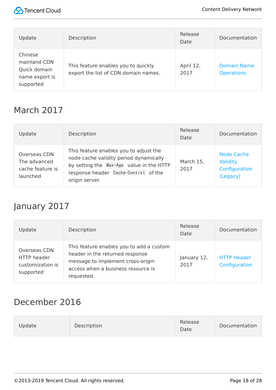

| Update                                                                 | Description                                                                 | Release<br>Date   | Documentation                           |
|------------------------------------------------------------------------|-----------------------------------------------------------------------------|-------------------|-----------------------------------------|
| Chinese<br>mainland CDN<br>Quick domain<br>name export is<br>supported | This feature enables you to quickly<br>export the list of CDN domain names. | April 12,<br>2017 | <b>Domain Name</b><br><b>Operations</b> |

#### March 2017

| Update                                                       | Description                                                                                                                                                                            | Release<br>Date   | Documentation                                              |
|--------------------------------------------------------------|----------------------------------------------------------------------------------------------------------------------------------------------------------------------------------------|-------------------|------------------------------------------------------------|
| Overseas CDN<br>The advanced<br>cache feature is<br>launched | This feature enables you to adjust the<br>node cache validity period dynamically<br>by setting the Max-Age value in the HTTP<br>response header Cache-Control of the<br>origin server. | March 15,<br>2017 | <b>Node Cache</b><br>Validity<br>Configuration<br>(Legacy) |

#### January 2017

| Update                                                       | Description                                                                                                                                                          | Release<br>Date     | Documentation                       |
|--------------------------------------------------------------|----------------------------------------------------------------------------------------------------------------------------------------------------------------------|---------------------|-------------------------------------|
| Overseas CDN<br>HTTP header<br>customization is<br>supported | This feature enables you to add a custom<br>header in the returned response<br>message to implement cross-origin<br>access when a business resource is<br>requested. | January 12,<br>2017 | <b>HTTP Header</b><br>Configuration |

#### December 2016

| Description<br><b>Jpdate</b> | Release<br>Date | Documentation |
|------------------------------|-----------------|---------------|
|------------------------------|-----------------|---------------|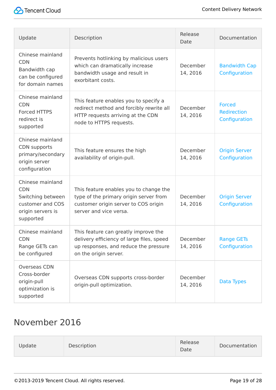

| Update                                                                                                    | Description                                                                                                                                         | Release<br>Date      | Documentation                                 |
|-----------------------------------------------------------------------------------------------------------|-----------------------------------------------------------------------------------------------------------------------------------------------------|----------------------|-----------------------------------------------|
| Chinese mainland<br><b>CDN</b><br>Bandwidth cap<br>can be configured<br>for domain names                  | Prevents hotlinking by malicious users<br>which can dramatically increase<br>bandwidth usage and result in<br>exorbitant costs.                     | December<br>14, 2016 | <b>Bandwidth Cap</b><br>Configuration         |
| Chinese mainland<br><b>CDN</b><br>Forced HTTPS<br>redirect is<br>supported                                | This feature enables you to specify a<br>redirect method and forcibly rewrite all<br>HTTP requests arriving at the CDN<br>node to HTTPS requests.   | December<br>14, 2016 | <b>Forced</b><br>Redirection<br>Configuration |
| Chinese mainland<br>CDN supports<br>primary/secondary<br>origin server<br>configuration                   | This feature ensures the high<br>availability of origin-pull.                                                                                       | December<br>14, 2016 | <b>Origin Server</b><br>Configuration         |
| Chinese mainland<br><b>CDN</b><br>Switching between<br>customer and COS<br>origin servers is<br>supported | This feature enables you to change the<br>type of the primary origin server from<br>customer origin server to COS origin<br>server and vice versa.  | December<br>14, 2016 | <b>Origin Server</b><br>Configuration         |
| Chinese mainland<br><b>CDN</b><br>Range GETs can<br>be configured                                         | This feature can greatly improve the<br>delivery efficiency of large files, speed<br>up responses, and reduce the pressure<br>on the origin server. | December<br>14, 2016 | <b>Range GETs</b><br>Configuration            |
| Overseas CDN<br>Cross-border<br>origin-pull<br>optimization is<br>supported                               | Overseas CDN supports cross-border<br>origin-pull optimization.                                                                                     | December<br>14, 2016 | Data Types                                    |

#### November 2016

| Description<br>Update | Release<br>Date | Documentation |
|-----------------------|-----------------|---------------|
|-----------------------|-----------------|---------------|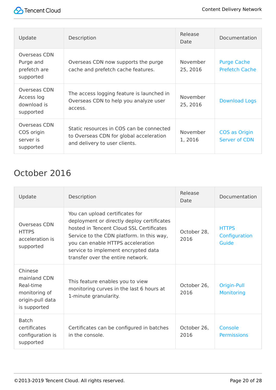| Update                                                 | Description                                                                                                          | Release<br>Date      | Documentation                               |
|--------------------------------------------------------|----------------------------------------------------------------------------------------------------------------------|----------------------|---------------------------------------------|
| Overseas CDN<br>Purge and<br>prefetch are<br>supported | Overseas CDN now supports the purge<br>cache and prefetch cache features.                                            | November<br>25, 2016 | <b>Purge Cache</b><br><b>Prefetch Cache</b> |
| Overseas CDN<br>Access log<br>download is<br>supported | The access logging feature is launched in<br>Overseas CDN to help you analyze user<br>access.                        | November<br>25, 2016 | <b>Download Logs</b>                        |
| Overseas CDN<br>COS origin<br>server is<br>supported   | Static resources in COS can be connected<br>to Overseas CDN for global acceleration<br>and delivery to user clients. | November<br>1,2016   | COS as Origin<br><b>Server of CDN</b>       |

#### October 2016

| Update                                                                                    | Description                                                                                                                                                                                                                                                                             | Release<br>Date     | Documentation                          |
|-------------------------------------------------------------------------------------------|-----------------------------------------------------------------------------------------------------------------------------------------------------------------------------------------------------------------------------------------------------------------------------------------|---------------------|----------------------------------------|
| Overseas CDN<br><b>HTTPS</b><br>acceleration is<br>supported                              | You can upload certificates for<br>deployment or directly deploy certificates<br>hosted in Tencent Cloud SSL Certificates<br>Service to the CDN platform. In this way,<br>you can enable HTTPS acceleration<br>service to implement encrypted data<br>transfer over the entire network. | October 28.<br>2016 | <b>HTTPS</b><br>Configuration<br>Guide |
| Chinese<br>mainland CDN<br>Real-time<br>monitoring of<br>origin-pull data<br>is supported | This feature enables you to view<br>monitoring curves in the last 6 hours at<br>1-minute granularity.                                                                                                                                                                                   | October 26,<br>2016 | Origin-Pull<br><b>Monitoring</b>       |
| <b>Batch</b><br>certificates<br>configuration is<br>supported                             | Certificates can be configured in batches<br>in the console.                                                                                                                                                                                                                            | October 26.<br>2016 | Console<br><b>Permissions</b>          |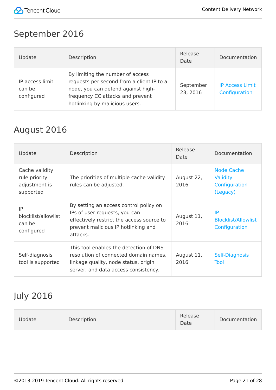

#### September 2016

| Update                                  | Description                                                                                                                                                                               | Release<br>Date       | Documentation                           |
|-----------------------------------------|-------------------------------------------------------------------------------------------------------------------------------------------------------------------------------------------|-----------------------|-----------------------------------------|
| IP access limit<br>can be<br>configured | By limiting the number of access<br>requests per second from a client IP to a<br>node, you can defend against high-<br>frequency CC attacks and prevent<br>hotlinking by malicious users. | September<br>23, 2016 | <b>IP Access Limit</b><br>Configuration |

#### August 2016

| Update                                                        | Description                                                                                                                                                             | Release<br>Date    | Documentation                                                     |
|---------------------------------------------------------------|-------------------------------------------------------------------------------------------------------------------------------------------------------------------------|--------------------|-------------------------------------------------------------------|
| Cache validity<br>rule priority<br>adjustment is<br>supported | The priorities of multiple cache validity<br>rules can be adjusted.                                                                                                     | August 22,<br>2016 | <b>Node Cache</b><br><b>Validity</b><br>Configuration<br>(Legacy) |
| IP<br>blocklist/allowlist<br>can be<br>configured             | By setting an access control policy on<br>IPs of user requests, you can<br>effectively restrict the access source to<br>prevent malicious IP hotlinking and<br>attacks. | August 11,<br>2016 | IP<br><b>Blocklist/Allowlist</b><br>Configuration                 |
| Self-diagnosis<br>tool is supported                           | This tool enables the detection of DNS<br>resolution of connected domain names,<br>linkage quality, node status, origin<br>server, and data access consistency.         | August 11,<br>2016 | Self-Diagnosis<br>Tool                                            |

#### July 2016

| Description<br><b>Jpdate</b> | Release<br>Date | Documentation |
|------------------------------|-----------------|---------------|
|------------------------------|-----------------|---------------|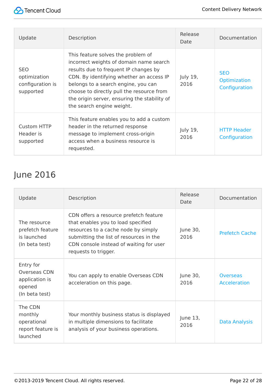| Update                                                      | Description                                                                                                                                                                                                                                                                                                                         | Release<br>Date  | Documentation                                      |
|-------------------------------------------------------------|-------------------------------------------------------------------------------------------------------------------------------------------------------------------------------------------------------------------------------------------------------------------------------------------------------------------------------------|------------------|----------------------------------------------------|
| <b>SEO</b><br>optimization<br>configuration is<br>supported | This feature solves the problem of<br>incorrect weights of domain name search<br>results due to frequent IP changes by<br>CDN. By identifying whether an access IP<br>belongs to a search engine, you can<br>choose to directly pull the resource from<br>the origin server, ensuring the stability of<br>the search engine weight. | July 19,<br>2016 | <b>SEO</b><br><b>Optimization</b><br>Configuration |
| <b>Custom HTTP</b><br>Header is<br>supported                | This feature enables you to add a custom<br>header in the returned response<br>message to implement cross-origin<br>access when a business resource is<br>requested.                                                                                                                                                                | July 19,<br>2016 | <b>HTTP Header</b><br>Configuration                |

### June 2016

| Update                                                                  | Description                                                                                                                                                                                                                       | Release<br>Date  | Documentation            |
|-------------------------------------------------------------------------|-----------------------------------------------------------------------------------------------------------------------------------------------------------------------------------------------------------------------------------|------------------|--------------------------|
| The resource<br>prefetch feature<br>is launched<br>(In beta test)       | CDN offers a resource prefetch feature<br>that enables you to load specified<br>resources to a cache node by simply<br>submitting the list of resources in the<br>CDN console instead of waiting for user<br>requests to trigger. | June 30,<br>2016 | <b>Prefetch Cache</b>    |
| Entry for<br>Overseas CDN<br>application is<br>opened<br>(In beta test) | You can apply to enable Overseas CDN<br>acceleration on this page.                                                                                                                                                                | June 30,<br>2016 | Overseas<br>Acceleration |
| The CDN<br>monthly<br>operational<br>report feature is<br>launched      | Your monthly business status is displayed<br>in multiple dimensions to facilitate<br>analysis of your business operations.                                                                                                        | June 13,<br>2016 | <b>Data Analysis</b>     |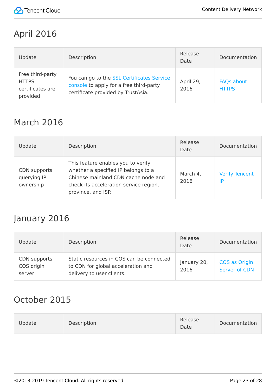

#### April 2016

| Update                                                           | Description                                                                                                                 | Release<br>Date   | Documentation                     |
|------------------------------------------------------------------|-----------------------------------------------------------------------------------------------------------------------------|-------------------|-----------------------------------|
| Free third-party<br><b>HTTPS</b><br>certificates are<br>provided | You can go to the SSL Certificates Service<br>console to apply for a free third-party<br>certificate provided by TrustAsia. | April 29,<br>2016 | <b>FAQs about</b><br><b>HTTPS</b> |

#### March 2016

| Update                                   | Description                                                                                                                                                                      | Release<br>Date  | Documentation               |
|------------------------------------------|----------------------------------------------------------------------------------------------------------------------------------------------------------------------------------|------------------|-----------------------------|
| CDN supports<br>querying IP<br>ownership | This feature enables you to verify<br>whether a specified IP belongs to a<br>Chinese mainland CDN cache node and<br>check its acceleration service region,<br>province, and ISP. | March 4,<br>2016 | <b>Verify Tencent</b><br>IP |

#### January 2016

| Update                               | Description                                                                                                 | Release<br>Date     | Documentation                  |
|--------------------------------------|-------------------------------------------------------------------------------------------------------------|---------------------|--------------------------------|
| CDN supports<br>COS origin<br>server | Static resources in COS can be connected<br>to CDN for global acceleration and<br>delivery to user clients. | January 20,<br>2016 | COS as Origin<br>Server of CDN |

#### October 2015

| Description<br>Update | Release<br>Date | Documentation |
|-----------------------|-----------------|---------------|
|-----------------------|-----------------|---------------|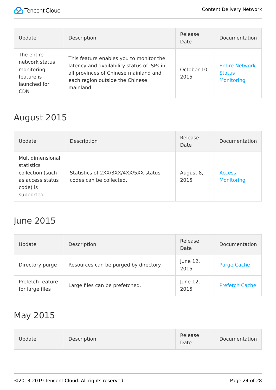

| Update                                                                                 | Description                                                                                                                                                                    | Release<br>Date     | Documentation                                               |
|----------------------------------------------------------------------------------------|--------------------------------------------------------------------------------------------------------------------------------------------------------------------------------|---------------------|-------------------------------------------------------------|
| The entire<br>network status<br>monitoring<br>feature is<br>launched for<br><b>CDN</b> | This feature enables you to monitor the<br>latency and availability status of ISPs in<br>all provinces of Chinese mainland and<br>each region outside the Chinese<br>mainland. | October 10,<br>2015 | <b>Entire Network</b><br><b>Status</b><br><b>Monitoring</b> |

#### August 2015

| Update                                                                                          | Description                                                     | Release<br>Date   | Documentation                      |
|-------------------------------------------------------------------------------------------------|-----------------------------------------------------------------|-------------------|------------------------------------|
| Multidimensional<br>statistics<br>collection (such<br>as access status<br>code) is<br>supported | Statistics of 2XX/3XX/4XX/5XX status<br>codes can be collected. | August 8,<br>2015 | <b>Access</b><br><b>Monitoring</b> |

#### June 2015

| Update                              | Description                           | Release<br>Date  | Documentation         |
|-------------------------------------|---------------------------------------|------------------|-----------------------|
| Directory purge                     | Resources can be purged by directory. | June 12,<br>2015 | <b>Purge Cache</b>    |
| Prefetch feature<br>for large files | Large files can be prefetched.        | June 12,<br>2015 | <b>Prefetch Cache</b> |

#### May 2015

| Release<br>Update<br>Description<br>Date | Documentation |
|------------------------------------------|---------------|
|------------------------------------------|---------------|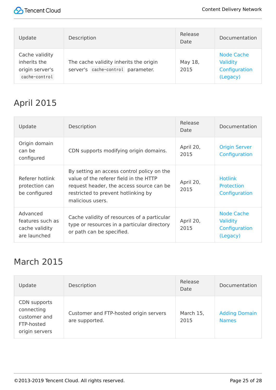

| Update                                                             | Description                                                                 | Release<br>Date | Documentation                                              |
|--------------------------------------------------------------------|-----------------------------------------------------------------------------|-----------------|------------------------------------------------------------|
| Cache validity<br>inherits the<br>origin server's<br>cache-control | The cache validity inherits the origin<br>server's cache-control parameter. | May 18,<br>2015 | <b>Node Cache</b><br>Validity<br>Configuration<br>(Legacy) |

## April 2015

| Update                                                         | Description                                                                                                                                                                                 | Release<br>Date   | Documentation                                                     |
|----------------------------------------------------------------|---------------------------------------------------------------------------------------------------------------------------------------------------------------------------------------------|-------------------|-------------------------------------------------------------------|
| Origin domain<br>can be<br>configured                          | CDN supports modifying origin domains.                                                                                                                                                      | April 20,<br>2015 | <b>Origin Server</b><br>Configuration                             |
| Referer hotlink<br>protection can<br>be configured             | By setting an access control policy on the<br>value of the referer field in the HTTP<br>request header, the access source can be<br>restricted to prevent hotlinking by<br>malicious users. | April 20,<br>2015 | <b>Hotlink</b><br><b>Protection</b><br>Configuration              |
| Advanced<br>features such as<br>cache validity<br>are launched | Cache validity of resources of a particular<br>type or resources in a particular directory<br>or path can be specified.                                                                     | April 20,<br>2015 | <b>Node Cache</b><br><b>Validity</b><br>Configuration<br>(Legacy) |

#### March 2015

| Update                                                                     | Description                                              | Release<br>Date   | Documentation                        |
|----------------------------------------------------------------------------|----------------------------------------------------------|-------------------|--------------------------------------|
| CDN supports<br>connecting<br>customer and<br>FTP-hosted<br>origin servers | Customer and FTP-hosted origin servers<br>are supported. | March 15,<br>2015 | <b>Adding Domain</b><br><b>Names</b> |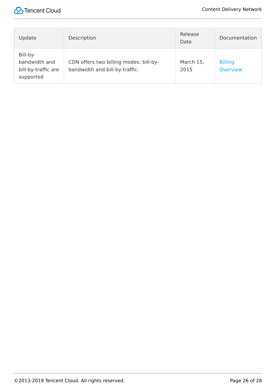

| Update                                                        | Description                                                              | Release<br>Date   | Documentation              |
|---------------------------------------------------------------|--------------------------------------------------------------------------|-------------------|----------------------------|
| Bill-by-<br>bandwidth and<br>bill-by-traffic are<br>supported | CDN offers two billing modes: bill-by-<br>bandwidth and bill-by-traffic. | March 15,<br>2015 | <b>Billing</b><br>Overview |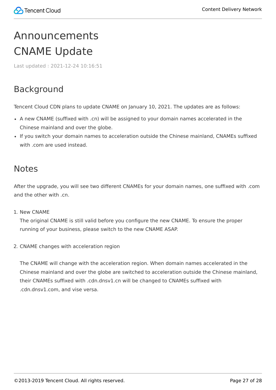# <span id="page-26-1"></span><span id="page-26-0"></span>Announcements CNAME Update

Last updated:2021-12-24 10:16:51

#### Background

Tencent Cloud CDN plans to update CNAME on January 10, 2021. The updates are as follows:

- A new CNAME (suffixed with .cn) will be assigned to your domain names accelerated in the Chinese mainland and over the globe.
- If you switch your domain names to acceleration outside the Chinese mainland, CNAMEs suffixed with .com are used instead.

#### Notes

After the upgrade, you will see two different CNAMEs for your domain names, one suffixed with .com and the other with .cn.

1. New CNAME

The original CNAME is still valid before you configure the new CNAME. To ensure the proper running of your business, please switch to the new CNAME ASAP.

2. CNAME changes with acceleration region

The CNAME will change with the acceleration region. When domain names accelerated in the Chinese mainland and over the globe are switched to acceleration outside the Chinese mainland, their CNAMEs suffixed with .cdn.dnsv1.cn will be changed to CNAMEs suffixed with .cdn.dnsv1.com, and vise versa.